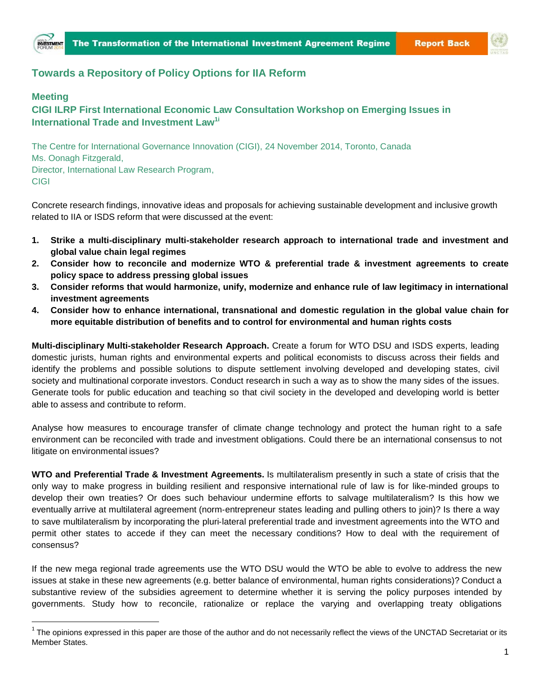



## **Towards a Repository of Policy Options for IIA Reform**

## **Meeting**

 $\overline{a}$ 

## **CIGI ILRP First International Economic Law Consultation Workshop on Emerging Issues in International Trade and Investment Law1i**

The Centre for International Governance Innovation (CIGI), 24 November 2014, Toronto, Canada Ms. Oonagh Fitzgerald, Director, International Law Research Program, CIGI

Concrete research findings, innovative ideas and proposals for achieving sustainable development and inclusive growth related to IIA or ISDS reform that were discussed at the event:

- **1. Strike a multi**‐**disciplinary multi**‐**stakeholder research approach to international trade and investment and global value chain legal regimes**
- **2. Consider how to reconcile and modernize WTO & preferential trade & investment agreements to create policy space to address pressing global issues**
- **3. Consider reforms that would harmonize, unify, modernize and enhance rule of law legitimacy in international investment agreements**
- **4. Consider how to enhance international, transnational and domestic regulation in the global value chain for more equitable distribution of benefits and to control for environmental and human rights costs**

**Multi**‐**disciplinary Multi**‐**stakeholder Research Approach.** Create a forum for WTO DSU and ISDS experts, leading domestic jurists, human rights and environmental experts and political economists to discuss across their fields and identify the problems and possible solutions to dispute settlement involving developed and developing states, civil society and multinational corporate investors. Conduct research in such a way as to show the many sides of the issues. Generate tools for public education and teaching so that civil society in the developed and developing world is better able to assess and contribute to reform.

Analyse how measures to encourage transfer of climate change technology and protect the human right to a safe environment can be reconciled with trade and investment obligations. Could there be an international consensus to not litigate on environmental issues?

**WTO and Preferential Trade & Investment Agreements.** Is multilateralism presently in such a state of crisis that the only way to make progress in building resilient and responsive international rule of law is for like‐minded groups to develop their own treaties? Or does such behaviour undermine efforts to salvage multilateralism? Is this how we eventually arrive at multilateral agreement (norm‐entrepreneur states leading and pulling others to join)? Is there a way to save multilateralism by incorporating the pluri‐lateral preferential trade and investment agreements into the WTO and permit other states to accede if they can meet the necessary conditions? How to deal with the requirement of consensus?

If the new mega regional trade agreements use the WTO DSU would the WTO be able to evolve to address the new issues at stake in these new agreements (e.g. better balance of environmental, human rights considerations)? Conduct a substantive review of the subsidies agreement to determine whether it is serving the policy purposes intended by governments. Study how to reconcile, rationalize or replace the varying and overlapping treaty obligations

 $^1$  The opinions expressed in this paper are those of the author and do not necessarily reflect the views of the UNCTAD Secretariat or its Member States.